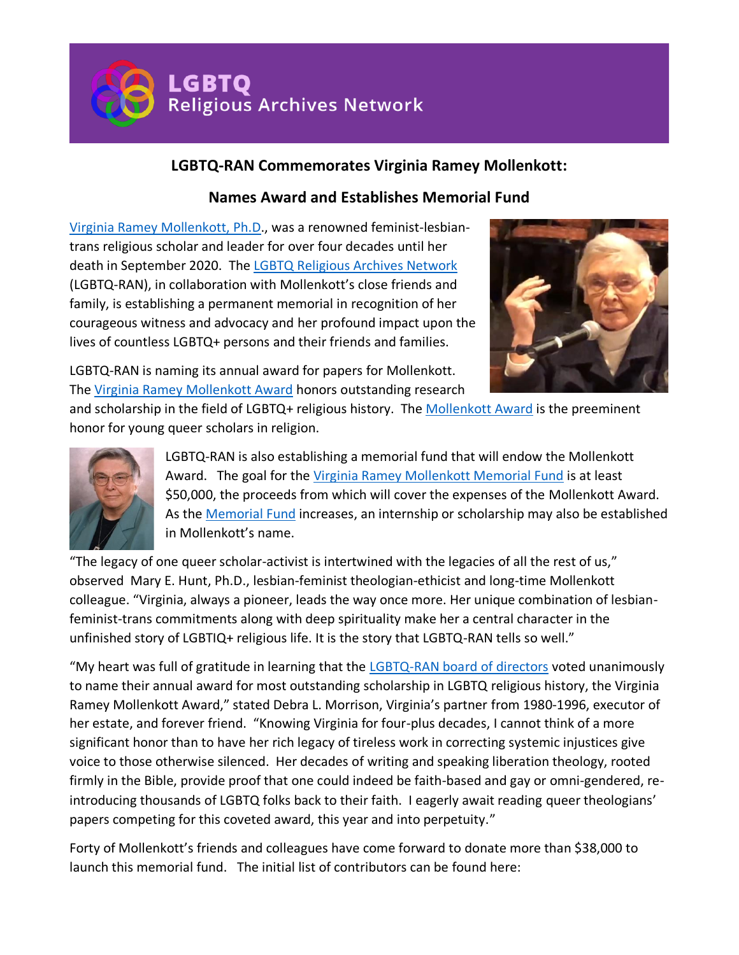**LGBTQ** Religious Archives Network

## **LGBTQ-RAN Commemorates Virginia Ramey Mollenkott:**

## **Names Award and Establishes Memorial Fund**

[Virginia Ramey Mollenkott, Ph.D.](https://lgbtqreligiousarchives.org/oral-histories/virginia-ramey-mollenkott-ph-d), was a renowned feminist-lesbiantrans religious scholar and leader for over four decades until her death in September 2020. The [LGBTQ Religious Archives Network](http://www.lgbtrqreligiousarchives.org/) (LGBTQ-RAN), in collaboration with Mollenkott's close friends and family, is establishing a permanent memorial in recognition of her courageous witness and advocacy and her profound impact upon the lives of countless LGBTQ+ persons and their friends and families.



LGBTQ-RAN is naming its annual award for papers for Mollenkott. The [Virginia Ramey Mollenkott Award](https://www.lgbtqreligiousarchives.org/vrm-award) honors outstanding research

and scholarship in the field of LGBTQ+ religious history. The [Mollenkott Award](https://www.lgbtqreligiousarchives.org/vrm-award) is the preeminent honor for young queer scholars in religion.



LGBTQ-RAN is also establishing a memorial fund that will endow the Mollenkott Award. The goal for the [Virginia Ramey Mollenkott Memorial Fund](https://lgbtqreligiousarchives.org/vrm-memorial-fund) is at least \$50,000, the proceeds from which will cover the expenses of the Mollenkott Award. As the [Memorial Fund](https://lgbtqreligiousarchives.org/vrm-memorial-fund) increases, an internship or scholarship may also be established in Mollenkott's name.

"The legacy of one queer scholar-activist is intertwined with the legacies of all the rest of us," observed Mary E. Hunt, Ph.D., lesbian-feminist theologian-ethicist and long-time Mollenkott colleague. "Virginia, always a pioneer, leads the way once more. Her unique combination of lesbianfeminist-trans commitments along with deep spirituality make her a central character in the unfinished story of LGBTIQ+ religious life. It is the story that LGBTQ-RAN tells so well."

"My heart was full of gratitude in learning that the [LGBTQ-RAN board of directors](https://www.lgbtqreligiousarchives.org/board-of-directors) voted unanimously to name their annual award for most outstanding scholarship in LGBTQ religious history, the Virginia Ramey Mollenkott Award," stated Debra L. Morrison, Virginia's partner from 1980-1996, executor of her estate, and forever friend. "Knowing Virginia for four-plus decades, I cannot think of a more significant honor than to have her rich legacy of tireless work in correcting systemic injustices give voice to those otherwise silenced. Her decades of writing and speaking liberation theology, rooted firmly in the Bible, provide proof that one could indeed be faith-based and gay or omni-gendered, reintroducing thousands of LGBTQ folks back to their faith. I eagerly await reading queer theologians' papers competing for this coveted award, this year and into perpetuity."

Forty of Mollenkott's friends and colleagues have come forward to donate more than \$38,000 to launch this memorial fund. The initial list of contributors can be found here: